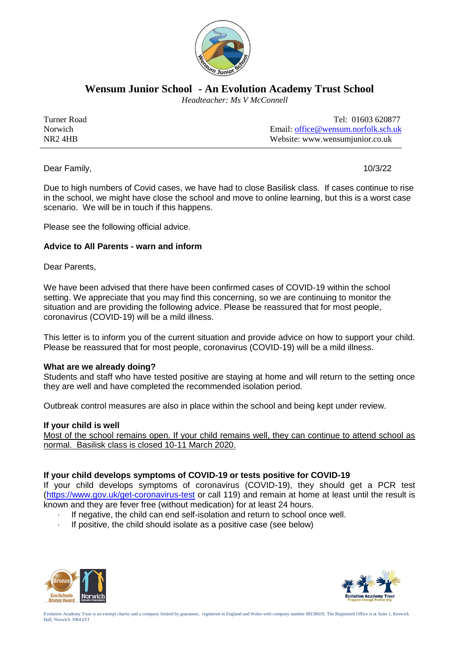

**Wensum Junior School - An Evolution Academy Trust School**

 *Headteacher: Ms V McConnell*

| Turner Road    | Tel: 01603 620877                            |
|----------------|----------------------------------------------|
| <b>Norwich</b> | Email: office $\omega$ wensum norfolk sch uk |
| $NR2$ 4HB      | Website: www.wensumjunior.co.uk              |

Dear Family, 10/3/22

Due to high numbers of Covid cases, we have had to close Basilisk class. If cases continue to rise in the school, we might have close the school and move to online learning, but this is a worst case scenario. We will be in touch if this happens.

Please see the following official advice.

# **Advice to All Parents - warn and inform**

Dear Parents,

We have been advised that there have been confirmed cases of COVID-19 within the school setting. We appreciate that you may find this concerning, so we are continuing to monitor the situation and are providing the following advice. Please be reassured that for most people, coronavirus (COVID-19) will be a mild illness.

This letter is to inform you of the current situation and provide advice on how to support your child. Please be reassured that for most people, coronavirus (COVID-19) will be a mild illness.

## **What are we already doing?**

Students and staff who have tested positive are staying at home and will return to the setting once they are well and have completed the recommended isolation period.

Outbreak control measures are also in place within the school and being kept under review.

## **If your child is well**

Most of the school remains open. If your child remains well, they can continue to attend school as normal. Basilisk class is closed 10-11 March 2020.

## **If your child develops symptoms of COVID-19 or tests positive for COVID-19**

If your child develops symptoms of coronavirus (COVID-19), they should get a PCR test [\(https://www.gov.uk/get-coronavirus-test](https://www.gov.uk/get-coronavirus-test) or call 119) and remain at home at least until the result is known and they are fever free (without medication) for at least 24 hours.

- If negative, the child can end self-isolation and return to school once well.
- If positive, the child should isolate as a positive case (see below)



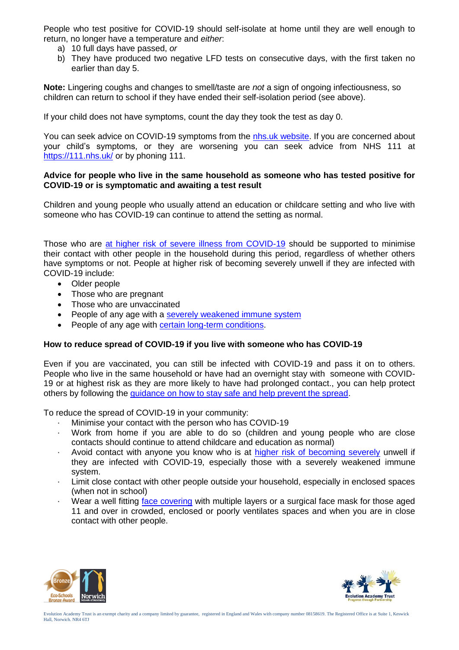People who test positive for COVID-19 should self-isolate at home until they are well enough to return, no longer have a temperature and *either*:

- a) 10 full days have passed, *or*
- b) They have produced two negative LFD tests on consecutive days, with the first taken no earlier than day 5.

**Note:** Lingering coughs and changes to smell/taste are *not* a sign of ongoing infectiousness, so children can return to school if they have ended their self-isolation period (see above).

If your child does not have symptoms, count the day they took the test as day 0.

You can seek advice on COVID-19 symptoms from the [nhs.uk website.](https://www.nhs.uk/conditions/coronavirus-covid-19/check-if-you-have-coronavirus-symptoms/) If you are concerned about your child's symptoms, or they are worsening you can seek advice from NHS 111 at <https://111.nhs.uk/> or by phoning 111.

#### **Advice for people who live in the same household as someone who has tested positive for COVID-19 or is symptomatic and awaiting a test result**

Children and young people who usually attend an education or childcare setting and who live with someone who has COVID-19 can continue to attend the setting as normal.

Those who are [at higher risk of severe illness from COVID-19](https://www.gov.uk/government/publications/guidance-on-shielding-and-protecting-extremely-vulnerable-persons-from-covid-19/guidance-on-shielding-and-protecting-extremely-vulnerable-persons-from-covid-19) should be supported to minimise their contact with other people in the household during this period, regardless of whether others have symptoms or not. People at higher risk of becoming severely unwell if they are infected with COVID-19 include:

- Older people
- Those who are pregnant
- Those who are unvaccinated
- People of any age with a [severely weakened immune system](https://www.gov.uk/government/publications/covid-19-guidance-for-people-whose-immune-system-means-they-are-at-higher-risk)
- People of any age with [certain long-term conditions.](https://www.nhs.uk/conditions/coronavirus-covid-19/people-at-higher-risk/who-is-at-high-risk-from-coronavirus/)

## **How to reduce spread of COVID-19 if you live with someone who has COVID-19**

Even if you are vaccinated, you can still be infected with COVID-19 and pass it on to others. People who live in the same household or have had an overnight stay with someone with COVID-19 or at highest risk as they are more likely to have had prolonged contact., you can help protect others by following the [guidance on how to stay safe and help prevent the spread.](https://www.gov.uk/guidance/covid-19-coronavirus-restrictions-what-you-can-and-cannot-do#keeping-yourself-and-others-safe)

To reduce the spread of COVID-19 in your community:

- Minimise your contact with the person who has COVID-19
- · Work from home if you are able to do so (children and young people who are close contacts should continue to attend childcare and education as normal)
- Avoid contact with anyone you know who is at [higher risk of becoming severely](https://www.gov.uk/government/publications/covid-19-people-with-covid-19-and-their-contacts/covid-19-people-with-covid-19-and-their-contacts#higherrisk) unwell if they are infected with COVID-19, especially those with a severely weakened immune system.
- Limit close contact with other people outside your household, especially in enclosed spaces (when not in school)
- Wear a well fitting [face covering](https://www.gov.uk/government/publications/face-coverings-when-to-wear-one-and-how-to-make-your-own) with multiple layers or a surgical face mask for those aged 11 and over in crowded, enclosed or poorly ventilates spaces and when you are in close contact with other people.